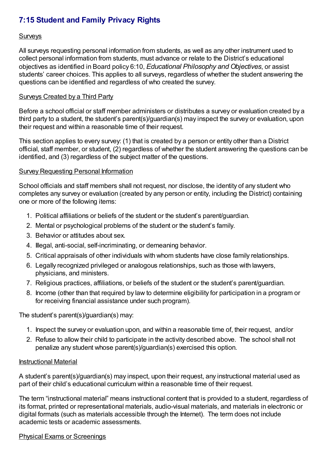# **7:15 Student and Family Privacy Rights**

### **Surveys**

All surveys requesting personal information from students, as well as any other instrument used to collect personal information from students, must advance or relate to the District's educational objectives as identified in Board policy 6:10, *Educational Philosophy and Objectives*, or assist students' career choices. This applies to all surveys, regardless of whether the student answering the questions can be identified and regardless of who created the survey.

#### Surveys Created by a Third Party

Before a school official or staff member administers or distributes a survey or evaluation created by a third party to a student, the student's parent(s)/guardian(s) may inspect the survey or evaluation, upon their request and within a reasonable time of their request.

This section applies to every survey: (1) that is created by a person or entity other than a District official, staff member, or student, (2) regardless of whether the student answering the questions can be identified, and (3) regardless of the subject matter of the questions.

## **Survey Requesting Personal Information**

School officials and staff members shall not request, nor disclose, the identity of any student who completes any survey or evaluation (created by any person or entity, including the District) containing one or more of the following items:

- 1. Political affiliations or beliefs of the student or the student's parent/guardian.
- 2. Mental or psychological problems of the student or the student's family.
- 3. Behavior or attitudes about sex.
- 4. Illegal, anti-social, self-incriminating, or demeaning behavior.
- 5. Critical appraisals of other individuals with whom students have close family relationships.
- 6. Legally recognized privileged or analogous relationships, such as those with lawyers, physicians, and ministers.
- 7. Religious practices, affiliations, or beliefs of the student or the student's parent/guardian.
- 8. Income (other than that required by law to determine eligibility for participation in a program or for receiving financial assistance under such program).

The student's parent(s)/guardian(s) may:

- 1. Inspect the survey or evaluation upon, and within a reasonable time of, their request, and/or
- 2. Refuse to allow their child to participate in the activity described above. The school shall not penalize any student whose parent(s)/guardian(s) exercised this option.

#### Instructional Material

A student's parent(s)/guardian(s) may inspect, upon their request, any instructional material used as part of their child's educational curriculum within a reasonable time of their request.

The term "instructional material" means instructional content that is provided to a student, regardless of its format, printed or representational materials, audio-visual materials, and materials in electronic or digital formats (such as materials accessible through the Internet). The term does not include academic tests or academic assessments.

## Physical Exams or Screenings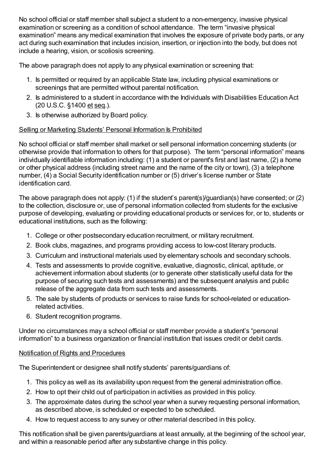No school official or staff member shall subject a student to a non-emergency, invasive physical examination or screening as a condition of school attendance. The term "invasive physical examination" means any medical examination that involves the exposure of private body parts, or any act during such examination that includes incision, insertion, or injection into the body, but does not include a hearing, vision, or scoliosis screening.

The above paragraph does not apply to any physical examination or screening that:

- 1. Is permitted or required by an applicable State law, including physical examinations or screenings that are permitted without parental notification.
- 2. Is administered to a student in accordance with the Individuals with Disabilities Education Act (20 U.S.C. §1400 et seq.).
- 3. Is otherwise authorized by Board policy.

# Selling or Marketing Students' Personal Information Is Prohibited

No school official or staff member shall market or sell personal information concerning students (or otherwise provide that information to others for that purpose). The term "personal information" means individually identifiable information including: (1) a student or parent's first and last name, (2) a home or other physical address (including street name and the name of the city or town), (3) a telephone number, (4) a Social Security identification number or (5) driver's license number or State identification card.

The above paragraph does not apply: (1) if the student's parent(s)/guardian(s) have consented; or (2) to the collection, disclosure or, use of personal information collected from students for the exclusive purpose of developing, evaluating or providing educational products or services for, or to, students or educational institutions, such as the following:

- 1. College or other postsecondary education recruitment, or military recruitment.
- 2. Book clubs, magazines, and programs providing access to low-cost literary products.
- 3. Curriculum and instructional materials used by elementary schools and secondary schools.
- 4. Tests and assessments to provide cognitive, evaluative, diagnostic, clinical, aptitude, or achievement information about students (or to generate other statistically useful data for the purpose of securing such tests and assessments) and the subsequent analysis and public release of the aggregate data from such tests and assessments.
- 5. The sale by students of products or services to raise funds for school-related or educationrelated activities.
- 6. Student recognition programs.

Under no circumstances may a school official or staff member provide a student's "personal information" to a business organization or financial institution that issues credit or debit cards.

# Notification of Rights and Procedures

The Superintendent or designee shall notify students' parents/guardians of:

- 1. This policy as well as its availability upon request from the general administration office.
- 2. How to opt their child out of participation in activities as provided in this policy.
- 3. The approximate dates during the school year when a survey requesting personal information, as described above, is scheduled or expected to be scheduled.
- 4. How to request access to any survey or other material described in this policy.

This notification shall be given parents/guardians at least annually, at the beginning of the school year, and within a reasonable period after any substantive change in this policy.